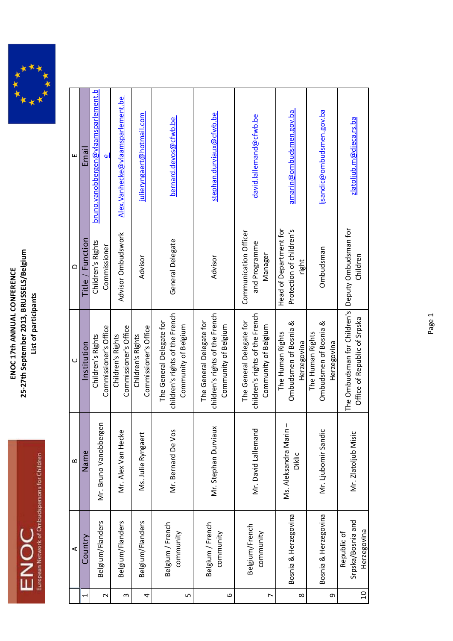

|          | ⋖                                               | $\mathbf{\Omega}$                     | $\cup$                                                                              | $\Omega$                                                    | ш                                               |
|----------|-------------------------------------------------|---------------------------------------|-------------------------------------------------------------------------------------|-------------------------------------------------------------|-------------------------------------------------|
| Ţ        | Country                                         | Name                                  | Institution                                                                         | <b>Function</b><br>Title                                    | Email                                           |
| $\sim$   | Belgium/Flanders                                | Mr. Bruno Vanobbergen                 | Commissioner's Office<br>Children's Rights                                          | Children's Rights<br>Commissioner                           | <u>bruno.vanobbergen@vlaamsparlement.b</u><br>Φ |
| S        | Belgium/Flanders                                | Mr. Alex Van Hecke                    | Commissioner's Office<br>Children's Rights                                          | Advisor Ombudswork                                          | Alex. Vanhecke@vlaamsparlement. be              |
| 4        | Belgium/Flanders                                | Ms. Julie Ryngaert                    | Commissioner's Office<br>Children's Rights                                          | Advisor                                                     | julieryngaert@hotmail.com                       |
| 5        | Belgium / French<br>community                   | Mr. Bernard De Vos                    | children's rights of the French<br>The General Delegate for<br>Community of Belgium | General Delegate                                            | bernard.devos@cfwb.be                           |
| 6        | Belgium / French<br>community                   | Mr. Stephan Durviaux                  | children's rights of the French<br>The General Delegate for<br>Community of Belgium | Advisor                                                     | stephan.durviaux@cfwb.be                        |
| L        | Belgium/French<br>community                     | Mr. David Lallemand                   | children's rights of the French<br>The General Delegate for<br>Community of Belgium | Communication Officer<br>and Programme<br>Manager           | david.lallemand@cfwb.be                         |
| $\infty$ | Bosnia & Herzegovina                            | Ms. Aleksandra Marin<br><b>Diklic</b> | Ombudsmen of Bosnia &<br>The Human Rights<br>Herzegovina                            | Head of Department for<br>Protection of children's<br>right | amarin@ombudsmen.gov.ba                         |
| ς        | Bosnia & Herzegovina                            | Mr. Ljubomir Sandic                   | Ombudsmen of Bosnia &<br>The Human Rights<br>Herzegovina                            | Ombudsman                                                   | ljsandic@ombudsmen.gov.ba                       |
| $\Omega$ | Srpska/Bosnia and<br>Herzegovina<br>Republic of | Mr. Zlatoljub Misic                   | The Ombudsman for Children's<br>Office of Republic of Srpska                        | Deputy Ombudsman for<br>Children                            | zlatoljub.m@djeca.rs.ba                         |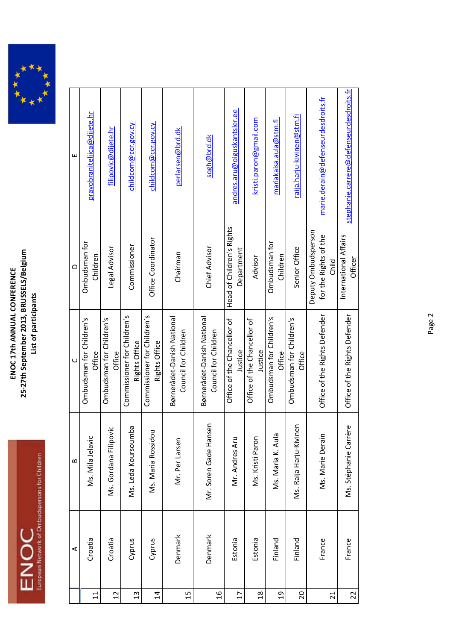

| Щ        | pravobraniteljica@dijete.hr        | filipovic@dijete.hr                             | chil <u>dcom@ccr.gov.cy</u>                  | childcom@ccr.gov.cy                          | perlarsen@brd.dk                                   | sogh@brd.dk                                        | andres.aru@oiguskantsler.ee             | kristi.paron@gmail.com                 | mariakaisa.aula@stm.fi             | raija.harju-kivinen@stm.fi         | marie.derain@defenseurdesdroits.fr                    | stephanie.carrere@defenseurdesdroits.fr |
|----------|------------------------------------|-------------------------------------------------|----------------------------------------------|----------------------------------------------|----------------------------------------------------|----------------------------------------------------|-----------------------------------------|----------------------------------------|------------------------------------|------------------------------------|-------------------------------------------------------|-----------------------------------------|
| $\Omega$ | Ombudsman for<br>Children          | Legal Advisor                                   | Commissioner                                 | Office Coordinator                           | Chairman                                           | Chief Advisor                                      | Head of Children's Rights<br>Department | Advisor                                | Ombudsman for<br>Children          | Senior Office                      | Deputy Ombudsperson<br>for the Rights of the<br>Child | International Affairs<br><b>Officer</b> |
| $\cup$   | Ombudsman for Children's<br>Office | Ombudsman for Children's<br>Office              | Commissioner for Children's<br>Rights Office | Commissioner for Children's<br>Rights Office | Børnerådet-Danish National<br>Council for Children | Børnerådet-Danish National<br>Council for Children | Office of the Chancellor of<br>Justice  | Office of the Chancellor of<br>Justice | Ombudsman for Children's<br>Office | Ombudsman for Children's<br>Office | Office of the Rights Defender                         | Office of the Rights Defender           |
| $\bf{m}$ | Ms. Mila Jelavic                   | $\overline{\mathsf{C}}$<br>Ms. Gordana Filipovi | ω<br>Ms. Leda Koursoumb                      | Ms. Maria Rossidou                           | Mr. Per Larsen                                     | Mr. Soren Gade Hansen                              | Mr. Andres Aru                          | Ms. Kristi Paron                       | Ms. Maria K. Aula                  | Ms. Raija Harju-Kivinen            | Ms. Marie Derain                                      | به<br>Ms. Stéphanie Carrèi              |
| ⋖        | Croatia                            | Croatia                                         | Cyprus                                       | Cyprus                                       | Denmark                                            | Denmark                                            | Estonia                                 | Estonia                                | Finland                            | Finland                            | France                                                | France                                  |
|          | $\Xi$                              | $\overline{12}$                                 | $\frac{3}{2}$                                | $\overline{1}$                               | 15                                                 | $\frac{9}{1}$                                      | $\overline{17}$                         | $\frac{8}{18}$                         | $\overline{a}$                     | $\overline{c}$                     | $\overline{c}$                                        | 22                                      |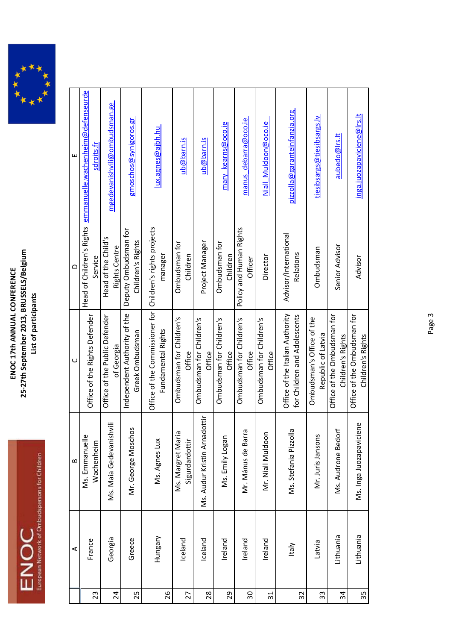

|                 | ⋖            | $\mathbf{a}$                        | $\cup$                                                                            | $\Omega$                                    | Щ                                 |
|-----------------|--------------|-------------------------------------|-----------------------------------------------------------------------------------|---------------------------------------------|-----------------------------------|
|                 | France       | Ms. Emmanuelle                      | Office of the Rights Defender                                                     | Head of Children's Rights                   | emmanuelle.wachenheim@defenseurde |
| 23              |              | Wachenheim                          |                                                                                   | Service                                     | sdroits.fr                        |
| 24              | Georgia      | ₹<br>Ms. Maia Gedevanish            | Office of the Public Defender<br>of Georgia                                       | Head of the Child's<br><b>Rights Centre</b> | mgedevanishvili@ombudsman.ge      |
| 25              | Greece       | s<br>Mr. George Moscho              | Independent Authority of the<br>Greek Ombudsman                                   | Deputy Ombudsman for<br>Children's Rights   | <u>gmoschos@synigoros.gr</u>      |
| 26              | Hungary      | Ms. Agnes Lux                       | Office of the Commissioner for   Children's rights projects<br>Fundamental Rights | manager                                     | <u>lux.agnes@ajbh.hu</u>          |
| 27              | Iceland      | Ms. Margret Maria<br>Sigurdardottir | Ombudsman for Children's<br>Office                                                | Ombudsman for<br>Children                   | ub@barn.is                        |
| 28              | Iceland      | Ms. Audur Kristin Arnadottir        | Ombudsman for Children's<br>Office                                                | Project Manager                             | ub@barn.is                        |
| 29              | Ireland      | Ms. Emily Logan                     | Ombudsman for Children's<br>Office                                                | Ombudsman for<br>Children                   | mary kearns@oco.ie                |
| $\overline{30}$ | Ireland      | Mr. Mánus de Barra                  | Ombudsman for Children's<br>Office                                                | Policy and Human Rights<br>Officer          | manus debarra@oco.ie              |
| 31              | Ireland      | Mr. Niall Muldoon                   | Ombudsman for Children's<br>Office                                                | Director                                    | Niall Muldoon@oco.ie              |
| 32              | <b>Italy</b> | Ms. Stefania Pizzolla               | Office of the Italian Authority<br>for Children and Adolescents                   | Advisor/International<br>Relations          | pizzolla@garanteinfanzia.org      |
| 33              | Latvia       | Mr. Juris Jansons                   | Ombudsman's Office of the<br>Republic of Latvia                                   | Ombudsman                                   | tiesibsargs@tiesibsargs.lv        |
| 34              | Lithuania    | Ms. Audrone Bedorf                  | Office of the Ombudsman for<br>Children's Rights                                  | Senior Advisor                              | aubedo@Irs.lt                     |
| 35              | Lithuania    | Ms. Inga Juozapaviciene             | Office of the Ombudsman for<br>Children's Rights                                  | Advisor                                     | inga.juozapaviciene@lrs.lt        |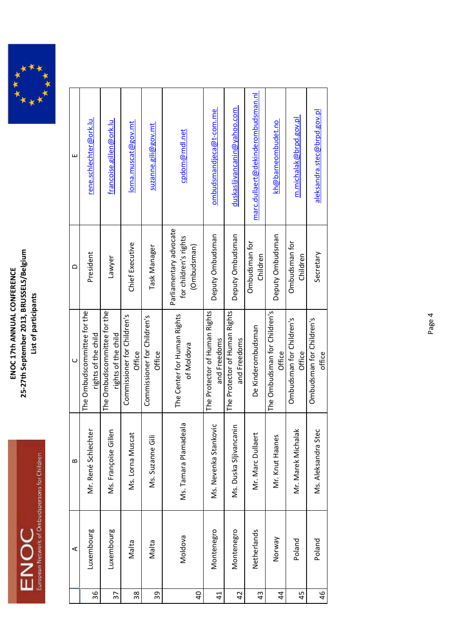

| ш        | rene.schlechter@ork.lu                             | francoise.gillen@ork.lu                            | lorna.muscat@gov.mt                   | suzanne.gili@gov.mt                   | cpdom@mdl.net                                                  | ombudsmandjeca@t-com.me                       | duskasljivancanin@yahoo.com                   | marc.dullaert@dekinderombudsman.nl | kh@barneombudet.no                            | m.michalak@brpd.gov.pl             | aleksandra.stec@brpd.gov.pl        |
|----------|----------------------------------------------------|----------------------------------------------------|---------------------------------------|---------------------------------------|----------------------------------------------------------------|-----------------------------------------------|-----------------------------------------------|------------------------------------|-----------------------------------------------|------------------------------------|------------------------------------|
| $\circ$  | President                                          | Lawyer                                             | Chief Executive                       | Task Manager                          | Parliamentary advocate<br>for children's rights<br>(Ombudsman) | Deputy Ombudsman                              | Deputy Ombudsman                              | Ombudsman for<br>Children          | Deputy Ombudsman                              | Ombudsman for<br>Children          | Secretary                          |
| $\cup$   | The Ombudscommittee for the<br>rights of the child | The Ombudscommittee for the<br>rights of the child | Commissioner for Children's<br>Office | Commissioner for Children's<br>Office | The Center for Human Rights<br>of Moldova                      | The Protector of Human Rights<br>and Freedoms | The Protector of Human Rights<br>and Freedoms | De Kinderombudsman                 | The Ombudsman for Children's<br><b>Office</b> | Ombudsman for Children's<br>Office | Ombudsman for Children's<br>office |
| $\bf{m}$ | Mr. René Schlechter                                | Ms. Françoise Gillen                               | Ms. Lorna Muscat                      | Ms. Suzanne Gili                      | ā<br>Ms. Tamara Plamadeal                                      | Ms. Nevenka Stankovic                         | Ms. Duska Sljivancanir                        | Mr. Marc Dullaert                  | Mr. Knut Haanes                               | Mr. Marek Michalak                 | Ms. Aleksandra Stec                |
| ⋖        | Luxembourg                                         | Luxembourg                                         | Malta                                 | Malta                                 | Moldova                                                        | Montenegro                                    | Montenegro                                    | Netherlands                        | Norway                                        | Poland                             | Poland                             |
|          | 36                                                 | 57                                                 | 38                                    | 39                                    | $\overline{a}$                                                 | $\ddot{4}$                                    | $\overline{4}$                                | $\frac{3}{4}$                      | $\overline{4}$                                | 45                                 | 46                                 |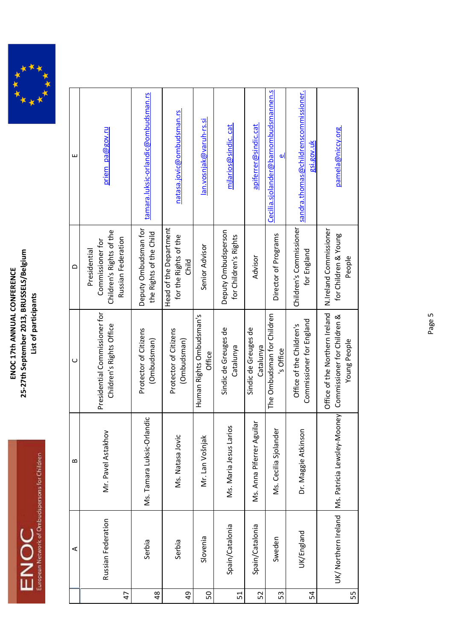

|                | ⋖                   | $\mathbf{a}$                             | $\cup$                                                                        | $\Omega$                                                                           | Щ                                                         |
|----------------|---------------------|------------------------------------------|-------------------------------------------------------------------------------|------------------------------------------------------------------------------------|-----------------------------------------------------------|
| $\overline{4}$ | Russian Federation  | Mr. Pavel Astakhov                       | Presidential Commissioner for<br>Children's Rights Office                     | Children's Rights of the<br>Russian Federation<br>Commissioner for<br>Presidential | priem pa@gov.ru                                           |
| 48             | Serbia              | ndic<br>Ms. Tamara Luksic-Orlar          | Protector of Citizens<br>(Ombudsman)                                          | Deputy Ombudsman for<br>the Rights of the Child                                    | tamara.luksic-orlandic@ombudsman.rs                       |
| 49             | Serbia              | Ms. Natasa Jovic                         | Protector of Citizens<br>(Ombudsman)                                          | Head of the Department<br>for the Rights of the<br>Child                           | natasa.jovic@ombudsman.rs                                 |
| SO             | Slovenia            | Mr. Lan Vošnjak                          | Human Rights Ombudsman's<br>Office                                            | Senior Advisor                                                                     | lan.vosnjak@varuh-rs.si                                   |
| 51             | Spain/Catalonia     | Ms. Maria Jesus Larios                   | Sindic de Greuges de<br>Catalunya                                             | Deputy Ombudsperson<br>for Children's Rights                                       | mjlarios@sindic.cat                                       |
| 52             | Spain/Catalonia     | $\frac{1}{10}$<br>Ms. Anna Piferrer Agui | Sindic de Greuges de<br>Catalunya                                             | Advisor                                                                            | apiferrer@sindic.cat                                      |
| 53             | Sweden              | Ms. Cecilia Sjolander                    | The Ombudsman for Children<br>'s Office                                       | Director of Programs                                                               | <u>Cecilia.sjolander@barnombudsmannen.s</u><br>ات         |
| 54             | UK/England          | Dr. Maggie Atkinson                      | Commissioner for England<br>Office of the Children's                          | Children's Commissioner<br>for England                                             | sandra.thomas@childrenscommissioner.<br><u>gsi.gov.uk</u> |
| 55             | UK/Northern Ireland | Ms. Patricia Lewsley-Mooney              | Office of the Northern Ireland<br>Commissioner for Children &<br>Young People | N.Ireland Commissioner<br>for Children & Young<br>People                           | pamela@niccy.org                                          |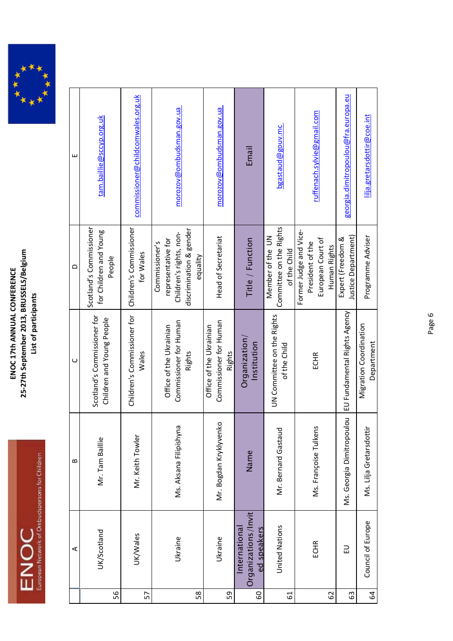ENOC<br>European Network of Onbudspersons for Children



|    | ⋖                                                   | ≃                         | $\cup$                                                             | $\Omega$                                                                                               | ш                                   |
|----|-----------------------------------------------------|---------------------------|--------------------------------------------------------------------|--------------------------------------------------------------------------------------------------------|-------------------------------------|
| 56 | UK/Scotland                                         | Mr. Tam Baillie           | Scotland's Commissioner for<br>Children and Young People           | Scotland's Commissioner<br>for Children and Young<br>People                                            | tam.baillie@sccyp.org.uk            |
| 57 | UK/Wales                                            | Mr. Keith Towler          | Children's Commissioner for<br>Wales                               | Children's Commissioner<br>for Wales                                                                   | commissioner@childcomwales.org.uk   |
| 58 | Ukraine                                             | Ms. Aksana Filipishyna    | Commissioner for Human<br>Office of the Ukrainian<br>Rights        | discrimination & gender<br>Children's rights, non-<br>representative for<br>Commissioner's<br>equality | morozov@ombudsman.gov.ua            |
| 59 | Ukraine                                             | Mr. Bogdan Kryklyvenko    | Commissioner for Human<br>Office of the Ukrainian<br><b>Rights</b> | <b>Head of Secretariat</b>                                                                             | morozov@ombudsman.gov.ua            |
| 60 | Organizations/Invit<br>ed speakers<br>International | Name                      | Organization<br>Institution                                        | Title / Function                                                                                       | Email                               |
| 61 | <b>United Nations</b>                               | Mr. Bernard Gastauc       | UN Committee on the Rights<br>of the Child                         | Committee on the Rights<br>Member of the UN<br>of the Child                                            | bgastaud@gouv.mc                    |
| 62 | ECHR                                                | Ms. Françoise Tulkens     | ECHR                                                               | Former Judge and Vice-<br>European Court of<br>President of the<br>Human Rights                        | ruffenach.sylvie@gmail.com          |
| යි | 긊                                                   | Ms. Georgia Dimitropoulou | EU Fundamental Rights Agency                                       | Justice Department)<br>Expert (Freedom &                                                               | georgia.dimitropoulou@fra.europa.eu |
| 54 | Council of Europe                                   | Ms. Lilja Gretarsdotti    | Migration Coordination<br>Department                               | Programme Adviser                                                                                      | lilja.gretarsdottir@coe.int         |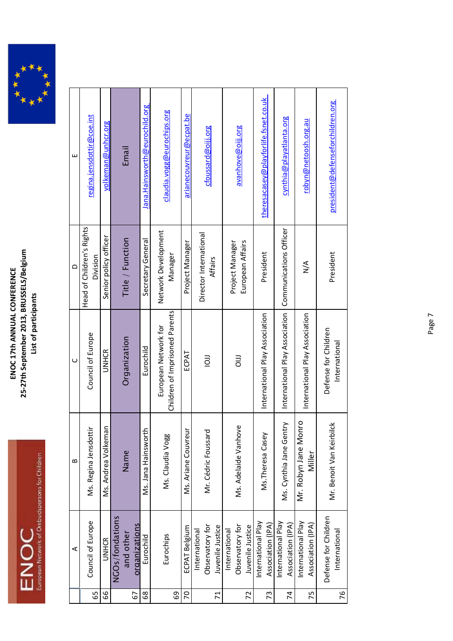



|                | ⋖                                                    | $\mathbf{a}$                       | ပ                                                      | $\Omega$                              | ш                                    |
|----------------|------------------------------------------------------|------------------------------------|--------------------------------------------------------|---------------------------------------|--------------------------------------|
| 65             | Council of Europe                                    | Ms. Regina Jensdottir              | Council of Europe                                      | Head of Children's Rights<br>Division | regina.jensdottir@coe.int            |
| 66             | <b>UNHCR</b>                                         | Ms. Andrea Volkeman                | <b>UNHCR</b>                                           | Senior policy officer                 | <u>volkeman@unhcr.org</u>            |
|                | NGOs/fondations                                      |                                    |                                                        |                                       |                                      |
|                | and other                                            | Name                               | Organization                                           | Title / Function                      | Email                                |
| 67             | organizations                                        |                                    |                                                        |                                       |                                      |
| 68             | Eurochild                                            | Ms. Jana Hainsworth                | Eurochild                                              | Secretary General                     | Jana. Hains worth @eurochild.org     |
| 69             | Eurochips                                            | Ms. Claudia Vogg                   | Children of Imprisoned Parents<br>European Network for | Network Development<br>Manager        | claudia.vogg@eurochips.org           |
| 20             | ECPAT Belgium                                        | Ms. Ariane Couvreur                | ECPAT                                                  | Project Manager                       | arianecouvreur@ecpat.be              |
| $\overline{7}$ | Observatory for<br>Juvenile Justice<br>International | Mr. Cédric Foussard                | $\overline{5}$                                         | Director International<br>Affairs     | cfoussard@oijj.org                   |
|                |                                                      |                                    |                                                        |                                       |                                      |
|                | Observatory for<br>International                     | Ms. Adelaide Vanhove               | $\overline{a}$                                         | Project Manager                       | avanhove@oijj.org                    |
| 72             | Juvenile Justice                                     |                                    |                                                        | European Affairs                      |                                      |
| 73             | nternational Play<br>Association (IPA)               | Ms. Theresa Casey                  | International Play Association                         | President                             | theresacasey@playforlife.fsnet.co.uk |
| 74             | International Play<br>Association (IPA)              | Ms. Cynthia Jane Gentry            | International Play Association                         | Communications Officer                | cynthia@playatlanta.org              |
| 75             | International Play<br>Association (IPA)              | ō<br>Mr. Robyn Jane Monr<br>Miller | International Play Association                         | $\frac{4}{2}$                         | <u>robyn@netoosh.org.au</u>          |
| 76             | Defense for Children<br>International                | Mr. Benoit Van Keirbilck           | Defense for Children<br>International                  | President                             | president@defenseforchildren.org     |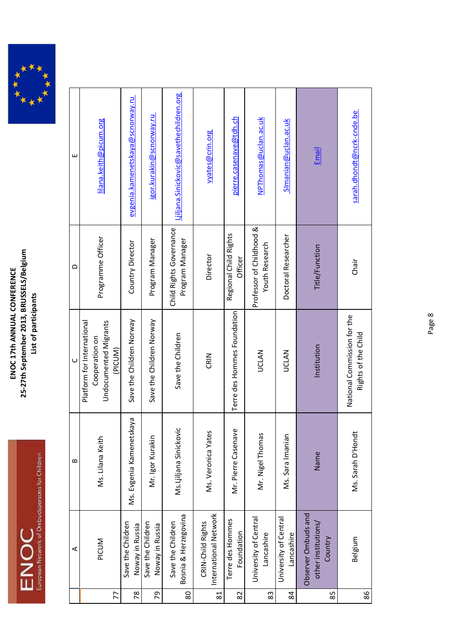

|        | ⋖                                                     | ≃                        | ں<br>                                              | $\triangle$                                       | ш                                        |
|--------|-------------------------------------------------------|--------------------------|----------------------------------------------------|---------------------------------------------------|------------------------------------------|
|        |                                                       |                          | Platform for International                         |                                                   |                                          |
|        | PICUM                                                 | Ms. Lilana Keith         | Undocumented Migrants<br>Cooperation on            | Programme Officer                                 | lilana.keith@picum.org                   |
| 77     |                                                       |                          | (PICUM)                                            |                                                   |                                          |
| 78     | Save the Children<br>Noway in Russia                  | Ms. Evgenia Kamenetskaya | Save the Children Norway                           | Country Director                                  | evgenia.kamenetskaya@scnorway.ru         |
| 54     | Save the Children<br>Noway in Russia                  | Mr. Igor Kurakin         | Save the Children Norway                           | Program Manager                                   | igor.kurakin@scnorway.ru                 |
| $80\,$ | Bosnia & Herzegovina<br>Save the Children             | Ms.Ljiljana Sinickovic   | Save the Children                                  | Child Rights Governance<br>Program Manager        | Ljiljana. Sinickovic@savethechildren.org |
| 81     | International Network<br>CRIN-Child Rights            | Ms. Veronica Yates       | CRIN                                               | Director                                          | wates@crin.org                           |
| 82     | Terre des Hommes<br>Foundation                        | Mr. Pierre Casenave      | Terre des Hommes Foundation                        | Regional Child Rights<br>Officer                  | pierre.casenave@tdh.ch                   |
| 83     | University of Central<br>Lancashire                   | Mr. Nigel Thomas         | <b>UCLAN</b>                                       | Professor of Childhood &<br><b>Youth Research</b> | NPThomas@uclan.ac.uk                     |
| 84     | University of Central<br>Lancashire                   | Ms. Sara Imanian         | <b>UCLAN</b>                                       | Doctoral Researcher                               | Simanian@uclan.ac.uk                     |
| 85     | Observer Ombuds and<br>other institutions/<br>Country | Name                     | Institution                                        | Title/Function                                    | <u>Email</u>                             |
| 86     | Belgium                                               | Ms. Sarah D'Hondt        | National Commission for the<br>Rights of the Child | Chair                                             | sarah.dhondt@ncrk-cnde.be                |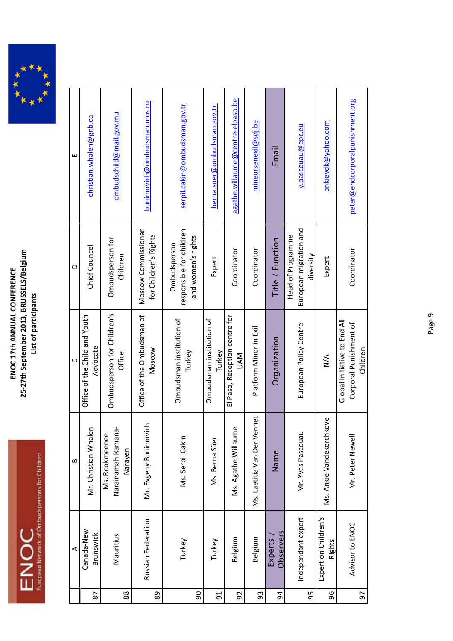

|    | $\prec$                        | $\mathbf{a}$                                    | $\cup$                                                             | $\Omega$                                                       | ш                                |
|----|--------------------------------|-------------------------------------------------|--------------------------------------------------------------------|----------------------------------------------------------------|----------------------------------|
| 87 | Canada-New<br>Brunswick        | Mr. Christian Whalen                            | Office of the Child and Youth<br>Advocate                          | Chief Councel                                                  | christian.whalen@gnb.ca          |
| 88 | Mauritius                      | Narainamah Ramana-<br>Ms. Rookmeenee<br>Narayen | Ombudsperson for Children's<br>Office                              | Ombudsperson for<br>Children                                   | ombudschild@mail.gov.mu          |
| 89 | Russian Federation             | Mr. Evgeny Bunimovic                            | Office of the Ombudsman of<br>Moscow                               | Moscow Commissioner<br>for Children's Rights                   | bunimovich@ombudsman.mos.ru      |
| 90 | Turkey                         | Ms. Serpil Cakin                                | Ombudsman institution of<br>Turkey                                 | responsible for children<br>and women's rights<br>Ombudsperson | serpil.cakin@ombudsman.gov.tr    |
| 51 | Turkey                         | Ms. Berna Süer                                  | Ombudsman institution of<br>Turkey                                 | Expert                                                         | berna.suer@ombudsman.gov.tr      |
| 92 | Belgium                        | Ms. Agathe Willaume                             | El Paso, Reception centre for<br><b>NVN</b>                        | Coordinator                                                    | agathe.willaume@centre-elpaso.be |
| 93 | Belgium                        | net<br>Ms. Laetitia Van Der Ven                 | Platform Minor in Exil                                             | Coordinator                                                    | mineursenexil@sdj.be             |
| 94 | Observers<br><b>Experts</b>    | Name                                            | Organization                                                       | Title / Function                                               | Email                            |
| 95 | Independant expert             | Mr. Yves Pascouau                               | European Policy Centre                                             | European migration and<br>Head of Programme<br>diversity       | y.pascouau@epc.eu                |
| 96 | Expert on Children's<br>Rights | Ms. Ankie Vandekerchkove                        | $\sum_{i=1}^{n}$                                                   | Expert                                                         | ankievdk@yahoo.com               |
| 50 | Advisor to ENOC                | Mr. Peter Newell                                | Global Initiative to End All<br>Corporal Punishment of<br>Children | Coordinator                                                    | peter@endcorporalpunishment.org  |